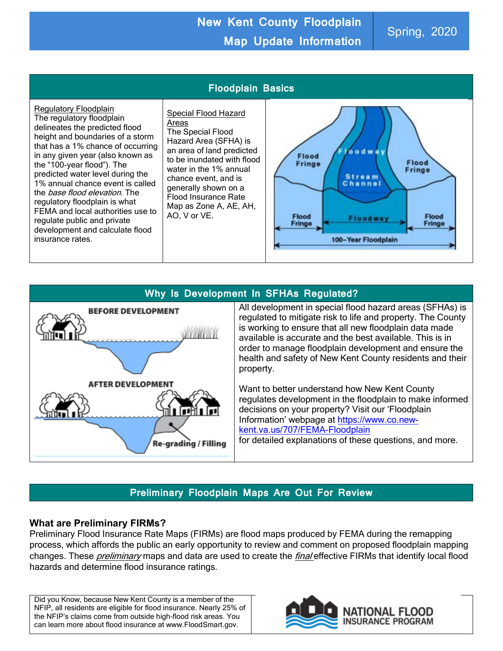# **New Kent County Floodplain Map Update Information** Spring, 2020





## **Preliminary Floodplain Maps Are Out For Review**

#### **What are Preliminary FIRMs?**

Preliminary Flood Insurance Rate Maps (FIRMs) are flood maps produced by FEMA during the remapping process, which affords the public an early opportunity to review and comment on proposed floodplain mapping changes. These *preliminary* maps and data are used to create the *final* effective FIRMs that identify local flood hazards and determine flood insurance ratings.

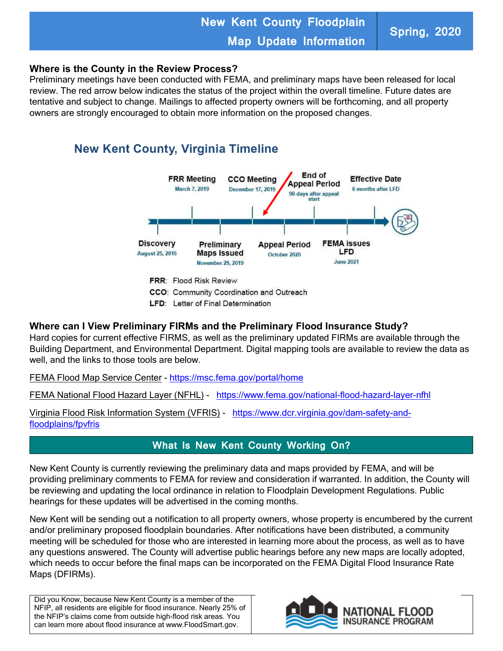# **New Kent County Floodplain Map Update Information Spring, 2020**

#### **Where is the County in the Review Process?**

Preliminary meetings have been conducted with FEMA, and preliminary maps have been released for local review. The red arrow below indicates the status of the project within the overall timeline. Future dates are tentative and subject to change. Mailings to affected property owners will be forthcoming, and all property owners are strongly encouraged to obtain more information on the proposed changes.

# **New Kent County, Virginia Timeline**



#### **Where can I View Preliminary FIRMs and the Preliminary Flood Insurance Study?**

Hard copies for current effective FIRMS, as well as the preliminary updated FIRMs are available through the Building Department, and Environmental Department. Digital mapping tools are available to review the data as well, and the links to those tools are below.

FEMA Flood Map Service Center - <https://msc.fema.gov/portal/home>

FEMA National Flood Hazard Layer (NFHL) - <https://www.fema.gov/national-flood-hazard-layer-nfhl>

Virginia Flood Risk Information System (VFRIS) - [https://www.dcr.virginia.gov/dam-safety-and](https://www.dcr.virginia.gov/dam-safety-and-floodplains/fpvfris)[floodplains/fpvfris](https://www.dcr.virginia.gov/dam-safety-and-floodplains/fpvfris)

### **What Is New Kent County Working On?**

New Kent County is currently reviewing the preliminary data and maps provided by FEMA, and will be providing preliminary comments to FEMA for review and consideration if warranted. In addition, the County will be reviewing and updating the local ordinance in relation to Floodplain Development Regulations. Public hearings for these updates will be advertised in the coming months.

New Kent will be sending out a notification to all property owners, whose property is encumbered by the current and/or preliminary proposed floodplain boundaries. After notifications have been distributed, a community meeting will be scheduled for those who are interested in learning more about the process, as well as to have any questions answered. The County will advertise public hearings before any new maps are locally adopted, which needs to occur before the final maps can be incorporated on the FEMA Digital Flood Insurance Rate Maps (DFIRMs).

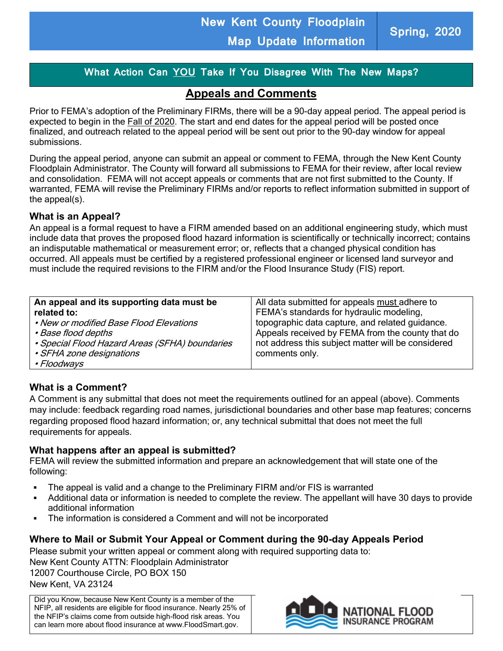# **What Action Can YOU Take If You Disagree With The New Maps?**

# **Appeals and Comments**

Prior to FEMA's adoption of the Preliminary FIRMs, there will be a 90-day appeal period. The appeal period is expected to begin in the Fall of 2020. The start and end dates for the appeal period will be posted once finalized, and outreach related to the appeal period will be sent out prior to the 90-day window for appeal submissions.

During the appeal period, anyone can submit an appeal or comment to FEMA, through the New Kent County Floodplain Administrator. The County will forward all submissions to FEMA for their review, after local review and consolidation. FEMA will not accept appeals or comments that are not first submitted to the County. If warranted, FEMA will revise the Preliminary FIRMs and/or reports to reflect information submitted in support of the appeal(s).

#### **What is an Appeal?**

An appeal is a formal request to have a FIRM amended based on an additional engineering study, which must include data that proves the proposed flood hazard information is scientifically or technically incorrect; contains an indisputable mathematical or measurement error; or, reflects that a changed physical condition has occurred. All appeals must be certified by a registered professional engineer or licensed land surveyor and must include the required revisions to the FIRM and/or the Flood Insurance Study (FIS) report.

| An appeal and its supporting data must be      | All data submitted for appeals must adhere to      |
|------------------------------------------------|----------------------------------------------------|
| related to:                                    | FEMA's standards for hydraulic modeling,           |
| • New or modified Base Flood Elevations        | topographic data capture, and related guidance.    |
| • Base flood depths                            | Appeals received by FEMA from the county that do   |
| • Special Flood Hazard Areas (SFHA) boundaries | not address this subject matter will be considered |
| • SFHA zone designations                       | comments only.                                     |
| • Floodways                                    |                                                    |

#### **What is a Comment?**

A Comment is any submittal that does not meet the requirements outlined for an appeal (above). Comments may include: feedback regarding road names, jurisdictional boundaries and other base map features; concerns regarding proposed flood hazard information; or, any technical submittal that does not meet the full requirements for appeals.

#### **What happens after an appeal is submitted?**

FEMA will review the submitted information and prepare an acknowledgement that will state one of the following:

- The appeal is valid and a change to the Preliminary FIRM and/or FIS is warranted
- Additional data or information is needed to complete the review. The appellant will have 30 days to provide additional information
- The information is considered a Comment and will not be incorporated

#### **Where to Mail or Submit Your Appeal or Comment during the 90-day Appeals Period**

Please submit your written appeal or comment along with required supporting data to: New Kent County ATTN: Floodplain Administrator 12007 Courthouse Circle, PO BOX 150 New Kent, VA 23124

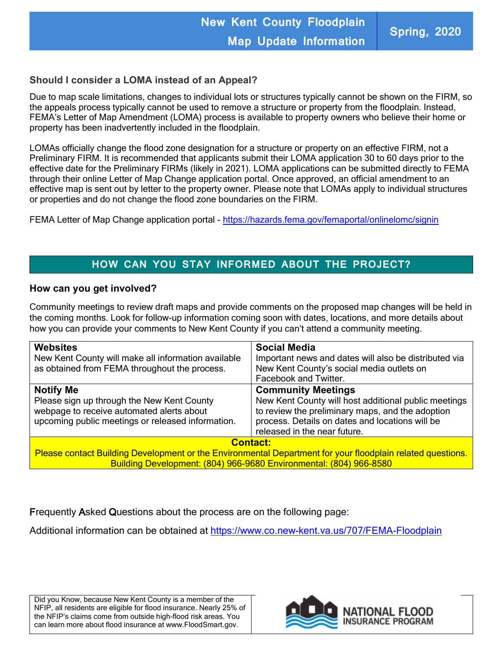#### **Should I consider a LOMA instead of an Appeal?**

Due to map scale limitations, changes to individual lots or structures typically cannot be shown on the FIRM, so the appeals process typically cannot be used to remove a structure or property from the floodplain. Instead, FEMA's Letter of Map Amendment (LOMA) process is available to property owners who believe their home or property has been inadvertently included in the floodplain.

LOMAs officially change the flood zone designation for a structure or property on an effective FIRM, not a Preliminary FIRM. It is recommended that applicants submit their LOMA application 30 to 60 days prior to the effective date for the Preliminary FIRMs (likely in 2021). LOMA applications can be submitted directly to FEMA through their online Letter of Map Change application portal. Once approved, an official amendment to an effective map is sent out by letter to the property owner. Please note that LOMAs apply to individual structures or properties and do not change the flood zone boundaries on the FIRM.

FEMA Letter of Map Change application portal - <https://hazards.fema.gov/femaportal/onlinelomc/signin>

## **HOW CAN YOU STAY INFORMED ABOUT THE PROJECT?**

#### **How can you get involved?**

Community meetings to review draft maps and provide comments on the proposed map changes will be held in the coming months. Look for follow-up information coming soon with dates, locations, and more details about how you can provide your comments to New Kent County if you can't attend a community meeting.

| <b>Websites</b><br>New Kent County will make all information available<br>as obtained from FEMA throughout the process.                                          | <b>Social Media</b><br>Important news and dates will also be distributed via<br>New Kent County's social media outlets on<br>Facebook and Twitter.                                                                       |
|------------------------------------------------------------------------------------------------------------------------------------------------------------------|--------------------------------------------------------------------------------------------------------------------------------------------------------------------------------------------------------------------------|
| <b>Notify Me</b><br>Please sign up through the New Kent County<br>webpage to receive automated alerts about<br>upcoming public meetings or released information. | <b>Community Meetings</b><br>New Kent County will host additional public meetings<br>to review the preliminary maps, and the adoption<br>process. Details on dates and locations will be<br>released in the near future. |
| <b>Contact:</b><br>Please contact Building Development or the Environmental Department for your floodplain related questions.                                    |                                                                                                                                                                                                                          |

Building Development: (804) 966-9680 Environmental: (804) 966-8580

Frequently Asked Questions about the process are on the following page:

Additional information can be obtained at<https://www.co.new-kent.va.us/707/FEMA-Floodplain>